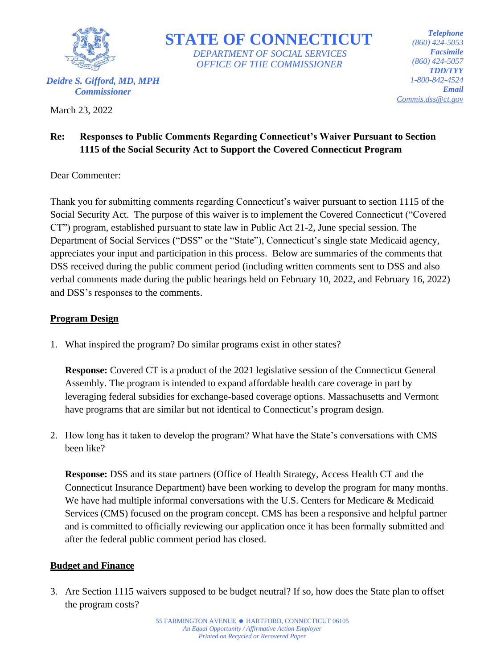

 **STATE OF CONNECTICUT**  *DEPARTMENT OF SOCIAL SERVICES OFFICE OF THE COMMISSIONER*

*Telephone (860) 424-5053 Facsimile (860) 424-5057 TDD/TYY 1-800-842-4524 Email Commis.dss@ct.gov*

# **Re: Responses to Public Comments Regarding Connecticut's Waiver Pursuant to Section 1115 of the Social Security Act to Support the Covered Connecticut Program**

Dear Commenter:

March 23, 2022

Thank you for submitting comments regarding Connecticut's waiver pursuant to section 1115 of the Social Security Act. The purpose of this waiver is to implement the Covered Connecticut ("Covered CT") program, established pursuant to state law in Public Act 21-2, June special session. The Department of Social Services ("DSS" or the "State"), Connecticut's single state Medicaid agency, appreciates your input and participation in this process. Below are summaries of the comments that DSS received during the public comment period (including written comments sent to DSS and also verbal comments made during the public hearings held on February 10, 2022, and February 16, 2022) and DSS's responses to the comments.

## **Program Design**

1. What inspired the program? Do similar programs exist in other states?

**Response:** Covered CT is a product of the 2021 legislative session of the Connecticut General Assembly. The program is intended to expand affordable health care coverage in part by leveraging federal subsidies for exchange-based coverage options. Massachusetts and Vermont have programs that are similar but not identical to Connecticut's program design.

2. How long has it taken to develop the program? What have the State's conversations with CMS been like?

**Response:** DSS and its state partners (Office of Health Strategy, Access Health CT and the Connecticut Insurance Department) have been working to develop the program for many months. We have had multiple informal conversations with the U.S. Centers for Medicare & Medicaid Services (CMS) focused on the program concept. CMS has been a responsive and helpful partner and is committed to officially reviewing our application once it has been formally submitted and after the federal public comment period has closed.

## **Budget and Finance**

3. Are Section 1115 waivers supposed to be budget neutral? If so, how does the State plan to offset the program costs?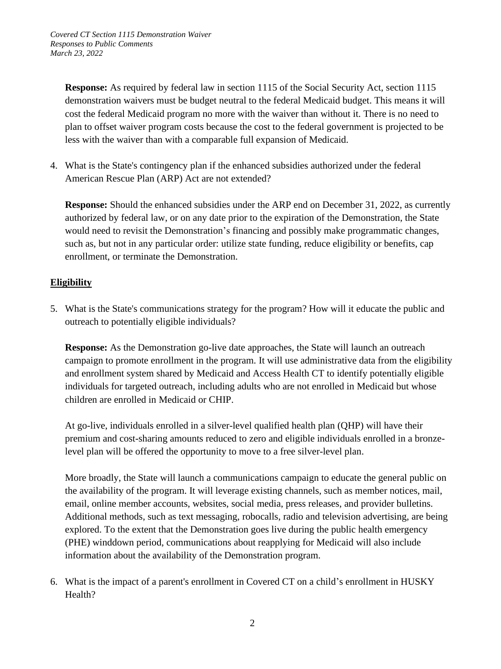*Covered CT Section 1115 Demonstration Waiver Responses to Public Comments March 23, 2022*

**Response:** As required by federal law in section 1115 of the Social Security Act, section 1115 demonstration waivers must be budget neutral to the federal Medicaid budget. This means it will cost the federal Medicaid program no more with the waiver than without it. There is no need to plan to offset waiver program costs because the cost to the federal government is projected to be less with the waiver than with a comparable full expansion of Medicaid.

4. What is the State's contingency plan if the enhanced subsidies authorized under the federal American Rescue Plan (ARP) Act are not extended?

**Response:** Should the enhanced subsidies under the ARP end on December 31, 2022, as currently authorized by federal law, or on any date prior to the expiration of the Demonstration, the State would need to revisit the Demonstration's financing and possibly make programmatic changes, such as, but not in any particular order: utilize state funding, reduce eligibility or benefits, cap enrollment, or terminate the Demonstration.

## **Eligibility**

5. What is the State's communications strategy for the program? How will it educate the public and outreach to potentially eligible individuals?

**Response:** As the Demonstration go-live date approaches, the State will launch an outreach campaign to promote enrollment in the program. It will use administrative data from the eligibility and enrollment system shared by Medicaid and Access Health CT to identify potentially eligible individuals for targeted outreach, including adults who are not enrolled in Medicaid but whose children are enrolled in Medicaid or CHIP.

At go-live, individuals enrolled in a silver-level qualified health plan (QHP) will have their premium and cost-sharing amounts reduced to zero and eligible individuals enrolled in a bronzelevel plan will be offered the opportunity to move to a free silver-level plan.

More broadly, the State will launch a communications campaign to educate the general public on the availability of the program. It will leverage existing channels, such as member notices, mail, email, online member accounts, websites, social media, press releases, and provider bulletins. Additional methods, such as text messaging, robocalls, radio and television advertising, are being explored. To the extent that the Demonstration goes live during the public health emergency (PHE) winddown period, communications about reapplying for Medicaid will also include information about the availability of the Demonstration program.

6. What is the impact of a parent's enrollment in Covered CT on a child's enrollment in HUSKY Health?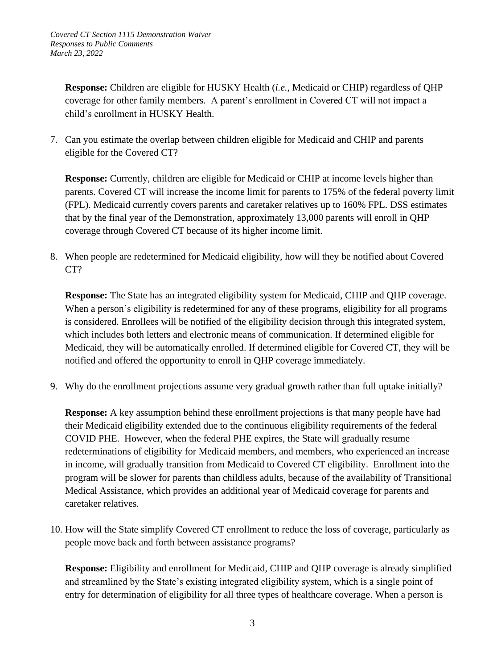**Response:** Children are eligible for HUSKY Health (*i.e.,* Medicaid or CHIP) regardless of QHP coverage for other family members.A parent's enrollment in Covered CT will not impact a child's enrollment in HUSKY Health.

7. Can you estimate the overlap between children eligible for Medicaid and CHIP and parents eligible for the Covered CT?

**Response:** Currently, children are eligible for Medicaid or CHIP at income levels higher than parents. Covered CT will increase the income limit for parents to 175% of the federal poverty limit (FPL). Medicaid currently covers parents and caretaker relatives up to 160% FPL. DSS estimates that by the final year of the Demonstration, approximately 13,000 parents will enroll in QHP coverage through Covered CT because of its higher income limit.

8. When people are redetermined for Medicaid eligibility, how will they be notified about Covered CT?

**Response:** The State has an integrated eligibility system for Medicaid, CHIP and QHP coverage. When a person's eligibility is redetermined for any of these programs, eligibility for all programs is considered. Enrollees will be notified of the eligibility decision through this integrated system, which includes both letters and electronic means of communication. If determined eligible for Medicaid, they will be automatically enrolled. If determined eligible for Covered CT, they will be notified and offered the opportunity to enroll in QHP coverage immediately.

9. Why do the enrollment projections assume very gradual growth rather than full uptake initially?

**Response:** A key assumption behind these enrollment projections is that many people have had their Medicaid eligibility extended due to the continuous eligibility requirements of the federal COVID PHE. However, when the federal PHE expires, the State will gradually resume redeterminations of eligibility for Medicaid members, and members, who experienced an increase in income, will gradually transition from Medicaid to Covered CT eligibility. Enrollment into the program will be slower for parents than childless adults, because of the availability of Transitional Medical Assistance, which provides an additional year of Medicaid coverage for parents and caretaker relatives.

10. How will the State simplify Covered CT enrollment to reduce the loss of coverage, particularly as people move back and forth between assistance programs?

**Response:** Eligibility and enrollment for Medicaid, CHIP and QHP coverage is already simplified and streamlined by the State's existing integrated eligibility system, which is a single point of entry for determination of eligibility for all three types of healthcare coverage. When a person is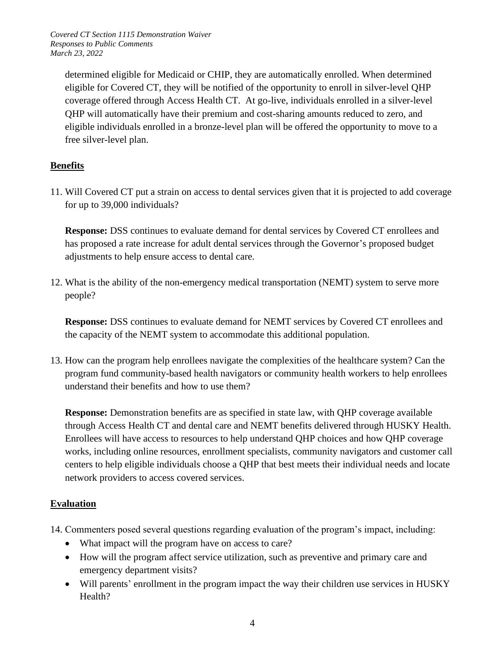*Covered CT Section 1115 Demonstration Waiver Responses to Public Comments March 23, 2022*

determined eligible for Medicaid or CHIP, they are automatically enrolled. When determined eligible for Covered CT, they will be notified of the opportunity to enroll in silver-level QHP coverage offered through Access Health CT. At go-live, individuals enrolled in a silver-level QHP will automatically have their premium and cost-sharing amounts reduced to zero, and eligible individuals enrolled in a bronze-level plan will be offered the opportunity to move to a free silver-level plan.

#### **Benefits**

11. Will Covered CT put a strain on access to dental services given that it is projected to add coverage for up to 39,000 individuals?

**Response:** DSS continues to evaluate demand for dental services by Covered CT enrollees and has proposed a rate increase for adult dental services through the Governor's proposed budget adjustments to help ensure access to dental care.

12. What is the ability of the non-emergency medical transportation (NEMT) system to serve more people?

**Response:** DSS continues to evaluate demand for NEMT services by Covered CT enrollees and the capacity of the NEMT system to accommodate this additional population.

13. How can the program help enrollees navigate the complexities of the healthcare system? Can the program fund community-based health navigators or community health workers to help enrollees understand their benefits and how to use them?

**Response:** Demonstration benefits are as specified in state law, with QHP coverage available through Access Health CT and dental care and NEMT benefits delivered through HUSKY Health. Enrollees will have access to resources to help understand QHP choices and how QHP coverage works, including online resources, enrollment specialists, community navigators and customer call centers to help eligible individuals choose a QHP that best meets their individual needs and locate network providers to access covered services.

#### **Evaluation**

- 14. Commenters posed several questions regarding evaluation of the program's impact, including:
	- What impact will the program have on access to care?
	- How will the program affect service utilization, such as preventive and primary care and emergency department visits?
	- Will parents' enrollment in the program impact the way their children use services in HUSKY Health?